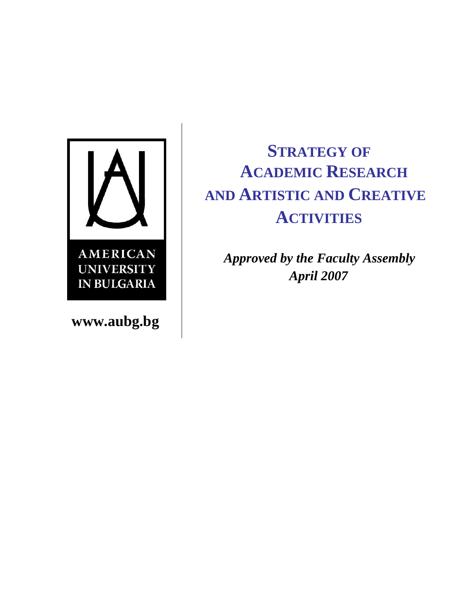

**www.aubg.bg**

# **STRATEGY OF ACADEMIC RESEARCH AND ARTISTIC AND CREATIVE ACTIVITIES**

 *Approved by the Faculty Assembly* *April 2007*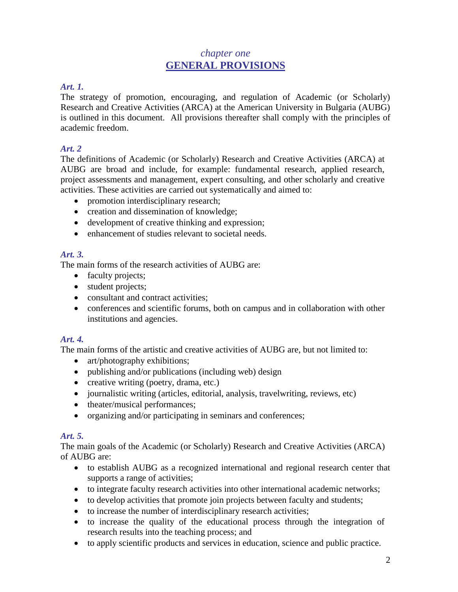# *chapter one* **GENERAL PROVISIONS**

# *Art. 1.*

The strategy of promotion, encouraging, and regulation of Academic (or Scholarly) Research and Creative Activities (ARCA) at the American University in Bulgaria (AUBG) is outlined in this document. All provisions thereafter shall comply with the principles of academic freedom.

## *Art. 2*

The definitions of Academic (or Scholarly) Research and Creative Activities (ARCA) at AUBG are broad and include, for example: fundamental research, applied research, project assessments and management, expert consulting, and other scholarly and creative activities. These activities are carried out systematically and aimed to:

- promotion interdisciplinary research;
- creation and dissemination of knowledge;
- development of creative thinking and expression;
- enhancement of studies relevant to societal needs.

# *Art. 3.*

The main forms of the research activities of AUBG are:

- faculty projects;
- student projects;
- consultant and contract activities:
- conferences and scientific forums, both on campus and in collaboration with other institutions and agencies.

# *Art. 4.*

The main forms of the artistic and creative activities of AUBG are, but not limited to:

- art/photography exhibitions;
- publishing and/or publications (including web) design
- creative writing (poetry, drama, etc.)
- journalistic writing (articles, editorial, analysis, travelwriting, reviews, etc)
- theater/musical performances:
- organizing and/or participating in seminars and conferences;

# *Art. 5.*

The main goals of the Academic (or Scholarly) Research and Creative Activities (ARCA) of AUBG are:

- to establish AUBG as a recognized international and regional research center that supports a range of activities;
- to integrate faculty research activities into other international academic networks;
- to develop activities that promote join projects between faculty and students;
- to increase the number of interdisciplinary research activities;
- to increase the quality of the educational process through the integration of research results into the teaching process; and
- to apply scientific products and services in education, science and public practice.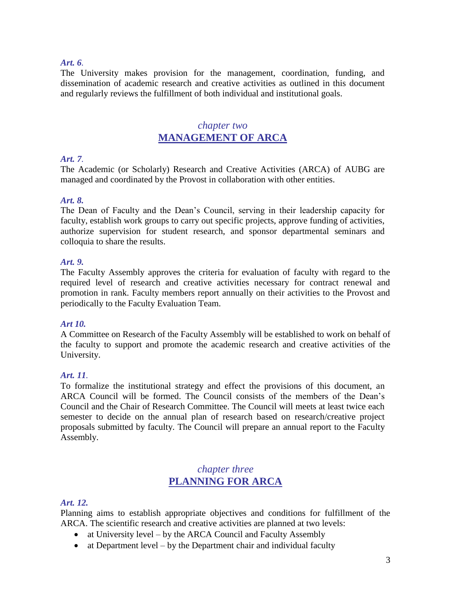#### *Art. 6.*

The University makes provision for the management, coordination, funding, and dissemination of academic research and creative activities as outlined in this document and regularly reviews the fulfillment of both individual and institutional goals.

# *chapter two* **MANAGEMENT OF ARCA**

#### *Art. 7.*

The Academic (or Scholarly) Research and Creative Activities (ARCA) of AUBG are managed and coordinated by the Provost in collaboration with other entities.

#### *Art. 8.*

The Dean of Faculty and the Dean's Council, serving in their leadership capacity for faculty, establish work groups to carry out specific projects, approve funding of activities, authorize supervision for student research, and sponsor departmental seminars and colloquia to share the results.

#### *Art. 9.*

The Faculty Assembly approves the criteria for evaluation of faculty with regard to the required level of research and creative activities necessary for contract renewal and promotion in rank. Faculty members report annually on their activities to the Provost and periodically to the Faculty Evaluation Team.

#### *Art 10.*

A Committee on Research of the Faculty Assembly will be established to work on behalf of the faculty to support and promote the academic research and creative activities of the University.

### *Art. 11.*

To formalize the institutional strategy and effect the provisions of this document, an ARCA Council will be formed. The Council consists of the members of the Dean's Council and the Chair of Research Committee. The Council will meets at least twice each semester to decide on the annual plan of research based on research/creative project proposals submitted by faculty. The Council will prepare an annual report to the Faculty Assembly.

# *chapter three* **PLANNING FOR ARCA**

#### *Art. 12.*

Planning aims to establish appropriate objectives and conditions for fulfillment of the ARCA. The scientific research and creative activities are planned at two levels:

- at University level by the ARCA Council and Faculty Assembly
- at Department level by the Department chair and individual faculty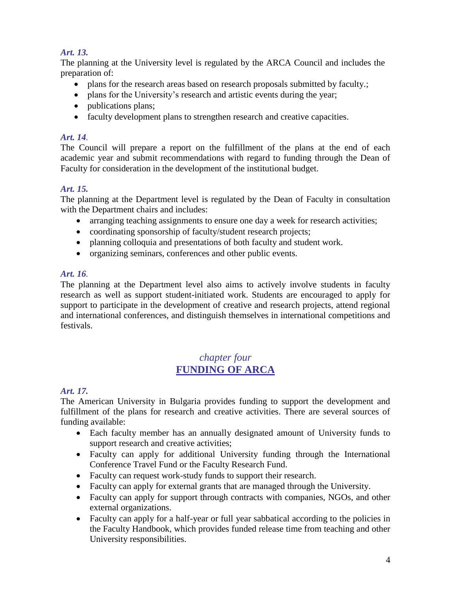# *Art. 13.*

The planning at the University level is regulated by the ARCA Council and includes the preparation of:

- plans for the research areas based on research proposals submitted by faculty.;
- plans for the University's research and artistic events during the year;
- publications plans;
- faculty development plans to strengthen research and creative capacities.

## *Art. 14.*

The Council will prepare a report on the fulfillment of the plans at the end of each academic year and submit recommendations with regard to funding through the Dean of Faculty for consideration in the development of the institutional budget.

## *Art. 15.*

The planning at the Department level is regulated by the Dean of Faculty in consultation with the Department chairs and includes:

- arranging teaching assignments to ensure one day a week for research activities;
- coordinating sponsorship of faculty/student research projects;
- planning colloquia and presentations of both faculty and student work.
- organizing seminars, conferences and other public events.

## *Art. 16.*

The planning at the Department level also aims to actively involve students in faculty research as well as support student-initiated work. Students are encouraged to apply for support to participate in the development of creative and research projects, attend regional and international conferences, and distinguish themselves in international competitions and festivals.

# *chapter four* **FUNDING OF ARCA**

# *Art. 17.*

The American University in Bulgaria provides funding to support the development and fulfillment of the plans for research and creative activities. There are several sources of funding available:

- Each faculty member has an annually designated amount of University funds to support research and creative activities;
- Faculty can apply for additional University funding through the International Conference Travel Fund or the Faculty Research Fund.
- Faculty can request work-study funds to support their research.
- Faculty can apply for external grants that are managed through the University.
- Faculty can apply for support through contracts with companies, NGOs, and other external organizations.
- Faculty can apply for a half-year or full year sabbatical according to the policies in the Faculty Handbook, which provides funded release time from teaching and other University responsibilities.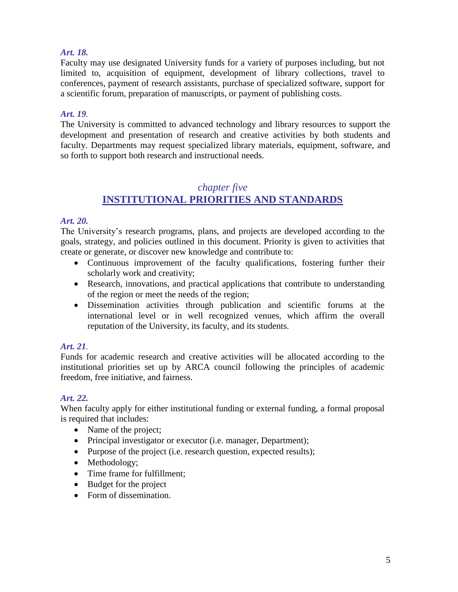## *Art. 18.*

Faculty may use designated University funds for a variety of purposes including, but not limited to, acquisition of equipment, development of library collections, travel to conferences, payment of research assistants, purchase of specialized software, support for a scientific forum, preparation of manuscripts, or payment of publishing costs.

## *Art. 19.*

The University is committed to advanced technology and library resources to support the development and presentation of research and creative activities by both students and faculty. Departments may request specialized library materials, equipment, software, and so forth to support both research and instructional needs.

# *chapter five* **INSTITUTIONAL PRIORITIES AND STANDARDS**

## *Art. 20.*

The University's research programs, plans, and projects are developed according to the goals, strategy, and policies outlined in this document. Priority is given to activities that create or generate, or discover new knowledge and contribute to:

- Continuous improvement of the faculty qualifications, fostering further their scholarly work and creativity;
- Research, innovations, and practical applications that contribute to understanding of the region or meet the needs of the region;
- Dissemination activities through publication and scientific forums at the international level or in well recognized venues, which affirm the overall reputation of the University, its faculty, and its students.

# *Art. 21.*

Funds for academic research and creative activities will be allocated according to the institutional priorities set up by ARCA council following the principles of academic freedom, free initiative, and fairness.

## *Art. 22.*

When faculty apply for either institutional funding or external funding, a formal proposal is required that includes:

- Name of the project;
- Principal investigator or executor (i.e. manager, Department);
- Purpose of the project (i.e. research question, expected results);
- Methodology;
- Time frame for fulfillment:
- Budget for the project
- Form of dissemination.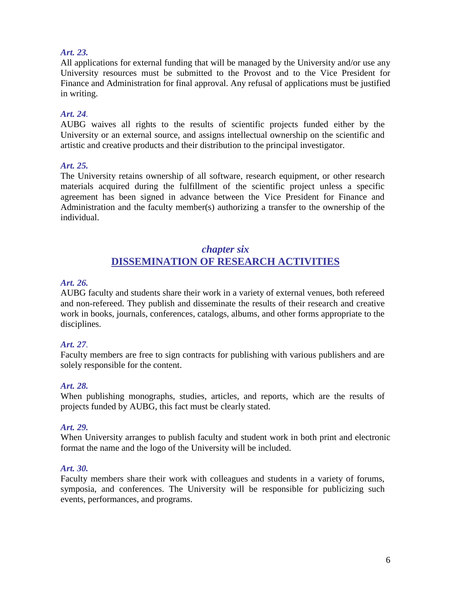## *Art. 23.*

All applications for external funding that will be managed by the University and/or use any University resources must be submitted to the Provost and to the Vice President for Finance and Administration for final approval. Any refusal of applications must be justified in writing.

## *Art. 24.*

AUBG waives all rights to the results of scientific projects funded either by the University or an external source, and assigns intellectual ownership on the scientific and artistic and creative products and their distribution to the principal investigator.

#### *Art. 25.*

The University retains ownership of all software, research equipment, or other research materials acquired during the fulfillment of the scientific project unless a specific agreement has been signed in advance between the Vice President for Finance and Administration and the faculty member(s) authorizing a transfer to the ownership of the individual.

# *chapter six* **DISSEMINATION OF RESEARCH ACTIVITIES**

#### *Art. 26.*

AUBG faculty and students share their work in a variety of external venues, both refereed and non-refereed. They publish and disseminate the results of their research and creative work in books, journals, conferences, catalogs, albums, and other forms appropriate to the disciplines.

## *Art. 27.*

Faculty members are free to sign contracts for publishing with various publishers and are solely responsible for the content.

#### *Art. 28.*

When publishing monographs, studies, articles, and reports, which are the results of projects funded by AUBG, this fact must be clearly stated.

#### *Art. 29.*

When University arranges to publish faculty and student work in both print and electronic format the name and the logo of the University will be included.

#### *Art. 30.*

Faculty members share their work with colleagues and students in a variety of forums, symposia, and conferences. The University will be responsible for publicizing such events, performances, and programs.